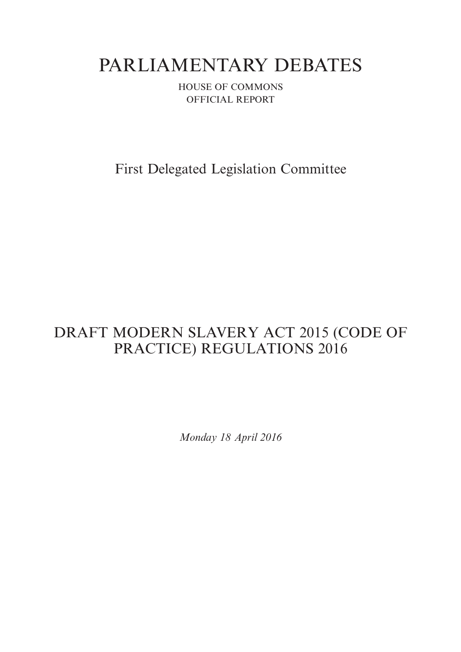# PARLIAMENTARY DEBATES

HOUSE OF COMMONS OFFICIAL REPORT

First Delegated Legislation Committee

## DRAFT MODERN SLAVERY ACT 2015 (CODE OF PRACTICE) REGULATIONS 2016

*Monday 18 April 2016*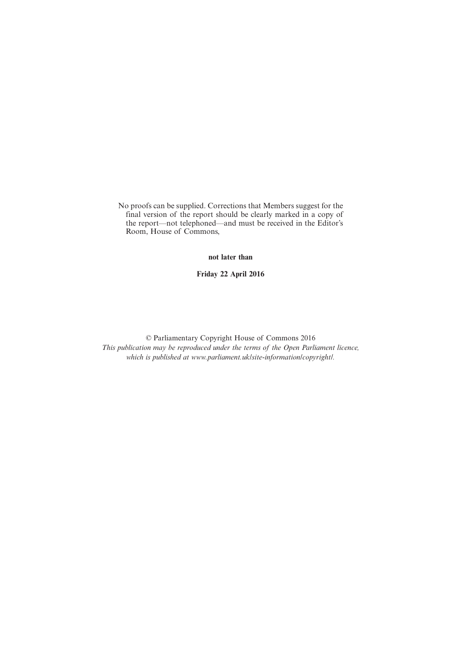No proofs can be supplied. Corrections that Members suggest for the final version of the report should be clearly marked in a copy of the report—not telephoned—and must be received in the Editor's Room, House of Commons,

**not later than**

**Friday 22 April 2016**

© Parliamentary Copyright House of Commons 2016 *This publication may be reproduced under the terms of the Open Parliament licence, which is published at www.parliament.uk/site-information/copyright/.*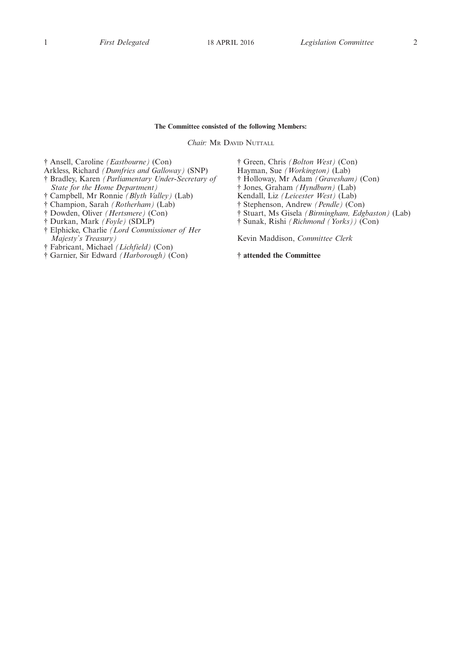## **The Committee consisted of the following Members:**

*Chair:* MR DAVID NUTTALL

† Ansell, Caroline *(Eastbourne)* (Con)

- Arkless, Richard *(Dumfries and Galloway)* (SNP)
- † Bradley, Karen *(Parliamentary Under-Secretary of State for the Home Department)*
- † Campbell, Mr Ronnie *(Blyth Valley)* (Lab)
- † Champion, Sarah *(Rotherham)* (Lab)
- † Dowden, Oliver *(Hertsmere)* (Con)
- † Durkan, Mark *(Foyle)* (SDLP)
- † Elphicke, Charlie *(Lord Commissioner of Her Majesty's Treasury)*
- † Fabricant, Michael *(Lichfield)* (Con)
- † Garnier, Sir Edward *(Harborough)* (Con)

† Green, Chris *(Bolton West)* (Con) Hayman, Sue *(Workington)* (Lab) † Holloway, Mr Adam *(Gravesham)* (Con) † Jones, Graham *(Hyndburn)* (Lab) Kendall, Liz *(Leicester West)* (Lab) † Stephenson, Andrew *(Pendle)* (Con) † Stuart, Ms Gisela *(Birmingham, Edgbaston)* (Lab) † Sunak, Rishi *(Richmond (Yorks))* (Con)

Kevin Maddison, *Committee Clerk*

**† attended the Committee**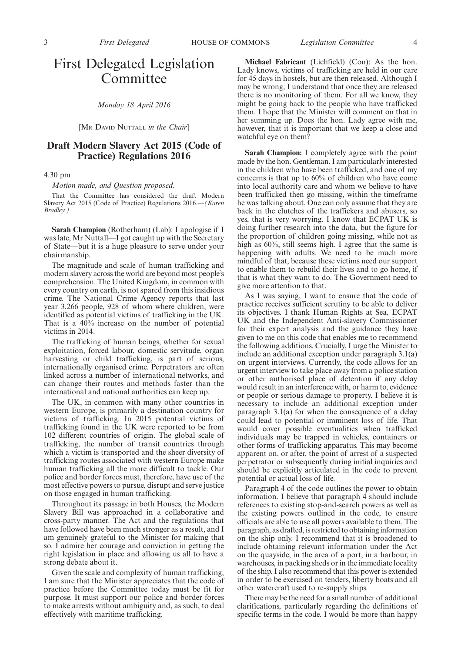## First Delegated Legislation Committee

*Monday 18 April 2016*

[MR DAVID NUTTALL *in the Chair*]

## **Draft Modern Slavery Act 2015 (Code of Practice) Regulations 2016**

4.30 pm

*Motion made, and Question proposed,*

That the Committee has considered the draft Modern Slavery Act 2015 (Code of Practice) Regulations 2016.—*(Karen Bradley.)*

**Sarah Champion** (Rotherham) (Lab): I apologise if I was late, Mr Nuttall—I got caught up with the Secretary of State—but it is a huge pleasure to serve under your chairmanship.

The magnitude and scale of human trafficking and modern slavery across the world are beyond most people's comprehension. The United Kingdom, in common with every country on earth, is not spared from this insidious crime. The National Crime Agency reports that last year 3,266 people, 928 of whom where children, were identified as potential victims of trafficking in the UK. That is a 40% increase on the number of potential victims in 2014.

The trafficking of human beings, whether for sexual exploitation, forced labour, domestic servitude, organ harvesting or child trafficking, is part of serious, internationally organised crime. Perpetrators are often linked across a number of international networks, and can change their routes and methods faster than the international and national authorities can keep up.

The UK, in common with many other countries in western Europe, is primarily a destination country for victims of trafficking. In 2015 potential victims of trafficking found in the UK were reported to be from 102 different countries of origin. The global scale of trafficking, the number of transit countries through which a victim is transported and the sheer diversity of trafficking routes associated with western Europe make human trafficking all the more difficult to tackle. Our police and border forces must, therefore, have use of the most effective powers to pursue, disrupt and serve justice on those engaged in human trafficking.

Throughout its passage in both Houses, the Modern Slavery Bill was approached in a collaborative and cross-party manner. The Act and the regulations that have followed have been much stronger as a result, and I am genuinely grateful to the Minister for making that so. I admire her courage and conviction in getting the right legislation in place and allowing us all to have a strong debate about it.

Given the scale and complexity of human trafficking, I am sure that the Minister appreciates that the code of practice before the Committee today must be fit for purpose. It must support our police and border forces to make arrests without ambiguity and, as such, to deal effectively with maritime trafficking.

**Michael Fabricant** (Lichfield) (Con): As the hon. Lady knows, victims of trafficking are held in our care for 45 days in hostels, but are then released. Although I may be wrong, I understand that once they are released there is no monitoring of them. For all we know, they might be going back to the people who have trafficked them. I hope that the Minister will comment on that in her summing up. Does the hon. Lady agree with me, however, that it is important that we keep a close and watchful eye on them?

**Sarah Champion:** I completely agree with the point made by the hon. Gentleman. I am particularly interested in the children who have been trafficked, and one of my concerns is that up to 60% of children who have come into local authority care and whom we believe to have been trafficked then go missing, within the timeframe he was talking about. One can only assume that they are back in the clutches of the traffickers and abusers, so yes, that is very worrying. I know that ECPAT UK is doing further research into the data, but the figure for the proportion of children going missing, while not as high as  $60\%$ , still seems high. I agree that the same is happening with adults. We need to be much more mindful of that, because these victims need our support to enable them to rebuild their lives and to go home, if that is what they want to do. The Government need to give more attention to that.

As I was saying, I want to ensure that the code of practice receives sufficient scrutiny to be able to deliver its objectives. I thank Human Rights at Sea, ECPAT UK and the Independent Anti-slavery Commissioner for their expert analysis and the guidance they have given to me on this code that enables me to recommend the following additions. Crucially, I urge the Minister to include an additional exception under paragraph 3.1(a) on urgent interviews. Currently, the code allows for an urgent interview to take place away from a police station or other authorised place of detention if any delay would result in an interference with, or harm to, evidence or people or serious damage to property. I believe it is necessary to include an additional exception under paragraph 3.1(a) for when the consequence of a delay could lead to potential or imminent loss of life. That would cover possible eventualities when trafficked individuals may be trapped in vehicles, containers or other forms of trafficking apparatus. This may become apparent on, or after, the point of arrest of a suspected perpetrator or subsequently during initial inquiries and should be explicitly articulated in the code to prevent potential or actual loss of life.

Paragraph 4 of the code outlines the power to obtain information. I believe that paragraph 4 should include references to existing stop-and-search powers as well as the existing powers outlined in the code, to ensure officials are able to use all powers available to them. The paragraph, as drafted, is restricted to obtaining information on the ship only. I recommend that it is broadened to include obtaining relevant information under the Act on the quayside, in the area of a port, in a harbour, in warehouses, in packing sheds or in the immediate locality of the ship. I also recommend that this power is extended in order to be exercised on tenders, liberty boats and all other watercraft used to re-supply ships.

There may be the need for a small number of additional clarifications, particularly regarding the definitions of specific terms in the code. I would be more than happy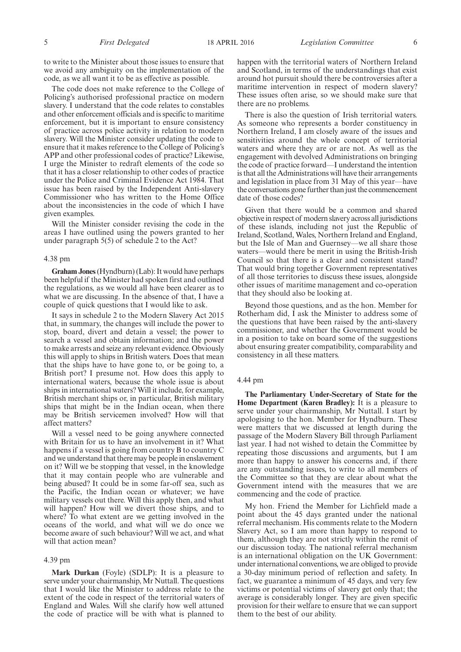The code does not make reference to the College of Policing's authorised professional practice on modern slavery. I understand that the code relates to constables and other enforcement officials and is specific to maritime enforcement, but it is important to ensure consistency of practice across police activity in relation to modern slavery. Will the Minister consider updating the code to ensure that it makes reference to the College of Policing's APP and other professional codes of practice? Likewise, I urge the Minister to redraft elements of the code so that it has a closer relationship to other codes of practice under the Police and Criminal Evidence Act 1984. That issue has been raised by the Independent Anti-slavery Commissioner who has written to the Home Office about the inconsistencies in the code of which I have given examples.

Will the Minister consider revising the code in the areas I have outlined using the powers granted to her under paragraph 5(5) of schedule 2 to the Act?

## 4.38 pm

**Graham Jones**(Hyndburn) (Lab): It would have perhaps been helpful if the Minister had spoken first and outlined the regulations, as we would all have been clearer as to what we are discussing. In the absence of that, I have a couple of quick questions that I would like to ask.

It says in schedule 2 to the Modern Slavery Act 2015 that, in summary, the changes will include the power to stop, board, divert and detain a vessel; the power to search a vessel and obtain information; and the power to make arrests and seize any relevant evidence. Obviously this will apply to ships in British waters. Does that mean that the ships have to have gone to, or be going to, a British port? I presume not. How does this apply to international waters, because the whole issue is about ships in international waters? Will it include, for example, British merchant ships or, in particular, British military ships that might be in the Indian ocean, when there may be British servicemen involved? How will that affect matters?

Will a vessel need to be going anywhere connected with Britain for us to have an involvement in it? What happens if a vessel is going from country B to country C and we understand that there may be people in enslavement on it? Will we be stopping that vessel, in the knowledge that it may contain people who are vulnerable and being abused? It could be in some far-off sea, such as the Pacific, the Indian ocean or whatever; we have military vessels out there. Will this apply then, and what will happen? How will we divert those ships, and to where? To what extent are we getting involved in the oceans of the world, and what will we do once we become aware of such behaviour? Will we act, and what will that action mean?

#### 4.39 pm

**Mark Durkan** (Foyle) (SDLP): It is a pleasure to serve under your chairmanship, Mr Nuttall. The questions that I would like the Minister to address relate to the extent of the code in respect of the territorial waters of England and Wales. Will she clarify how well attuned the code of practice will be with what is planned to

happen with the territorial waters of Northern Ireland and Scotland, in terms of the understandings that exist around hot pursuit should there be controversies after a maritime intervention in respect of modern slavery? These issues often arise, so we should make sure that there are no problems.

There is also the question of Irish territorial waters. As someone who represents a border constituency in Northern Ireland, I am closely aware of the issues and sensitivities around the whole concept of territorial waters and where they are or are not. As well as the engagement with devolved Administrations on bringing the code of practice forward—I understand the intention is that all the Administrations will have their arrangements and legislation in place from 31 May of this year—have the conversations gone further than just the commencement date of those codes?

Given that there would be a common and shared objective in respect of modern slavery across all jurisdictions of these islands, including not just the Republic of Ireland, Scotland, Wales, Northern Ireland and England, but the Isle of Man and Guernsey—we all share those waters—would there be merit in using the British-Irish Council so that there is a clear and consistent stand? That would bring together Government representatives of all those territories to discuss these issues, alongside other issues of maritime management and co-operation that they should also be looking at.

Beyond those questions, and as the hon. Member for Rotherham did,  $\overline{I}$  ask the Minister to address some of the questions that have been raised by the anti-slavery commissioner, and whether the Government would be in a position to take on board some of the suggestions about ensuring greater compatibility, comparability and consistency in all these matters.

## 4.44 pm

**The Parliamentary Under-Secretary of State for the Home Department (Karen Bradley):** It is a pleasure to serve under your chairmanship, Mr Nuttall. I start by apologising to the hon. Member for Hyndburn. These were matters that we discussed at length during the passage of the Modern Slavery Bill through Parliament last year. I had not wished to detain the Committee by repeating those discussions and arguments, but I am more than happy to answer his concerns and, if there are any outstanding issues, to write to all members of the Committee so that they are clear about what the Government intend with the measures that we are commencing and the code of practice.

My hon. Friend the Member for Lichfield made a point about the 45 days granted under the national referral mechanism. His comments relate to the Modern Slavery Act, so I am more than happy to respond to them, although they are not strictly within the remit of our discussion today. The national referral mechanism is an international obligation on the UK Government: under international conventions, we are obliged to provide a 30-day minimum period of reflection and safety. In fact, we guarantee a minimum of 45 days, and very few victims or potential victims of slavery get only that; the average is considerably longer. They are given specific provision for their welfare to ensure that we can support them to the best of our ability.